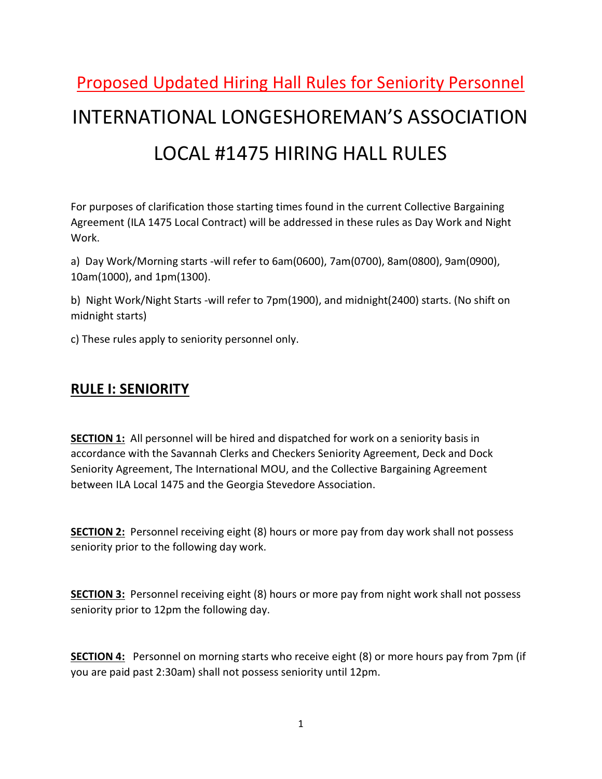# Proposed Updated Hiring Hall Rules for Seniority Personnel INTERNATIONAL LONGESHOREMAN'S ASSOCIATION LOCAL #1475 HIRING HALL RULES

For purposes of clarification those starting times found in the current Collective Bargaining Agreement (ILA 1475 Local Contract) will be addressed in these rules as Day Work and Night Work.

a) Day Work/Morning starts -will refer to 6am(0600), 7am(0700), 8am(0800), 9am(0900), 10am(1000), and 1pm(1300).

b) Night Work/Night Starts -will refer to 7pm(1900), and midnight(2400) starts. (No shift on midnight starts)

c) These rules apply to seniority personnel only.

#### RULE I: SENIORITY

SECTION 1: All personnel will be hired and dispatched for work on a seniority basis in accordance with the Savannah Clerks and Checkers Seniority Agreement, Deck and Dock Seniority Agreement, The International MOU, and the Collective Bargaining Agreement between ILA Local 1475 and the Georgia Stevedore Association.

SECTION 2: Personnel receiving eight (8) hours or more pay from day work shall not possess seniority prior to the following day work.

SECTION 3: Personnel receiving eight (8) hours or more pay from night work shall not possess seniority prior to 12pm the following day.

SECTION 4: Personnel on morning starts who receive eight (8) or more hours pay from 7pm (if you are paid past 2:30am) shall not possess seniority until 12pm.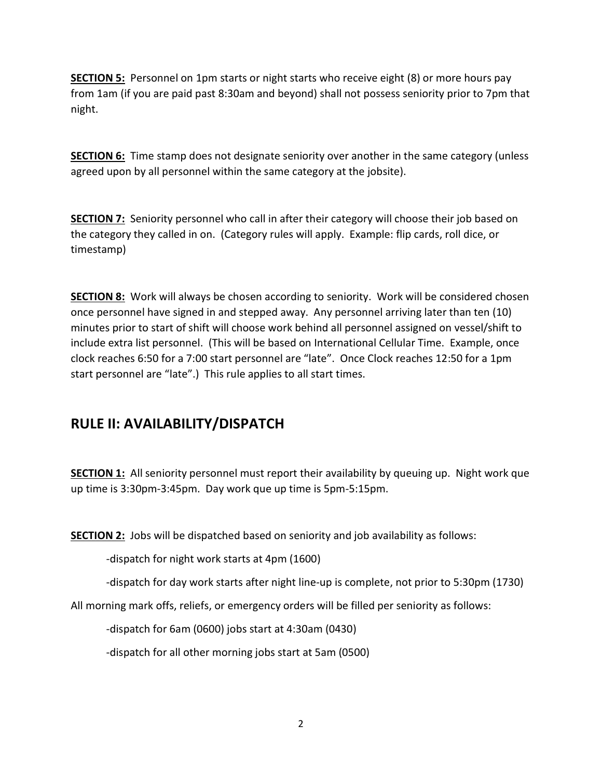SECTION 5: Personnel on 1pm starts or night starts who receive eight (8) or more hours pay from 1am (if you are paid past 8:30am and beyond) shall not possess seniority prior to 7pm that night.

**SECTION 6:** Time stamp does not designate seniority over another in the same category (unless agreed upon by all personnel within the same category at the jobsite).

SECTION 7: Seniority personnel who call in after their category will choose their job based on the category they called in on. (Category rules will apply. Example: flip cards, roll dice, or timestamp)

**SECTION 8:** Work will always be chosen according to seniority. Work will be considered chosen once personnel have signed in and stepped away. Any personnel arriving later than ten (10) minutes prior to start of shift will choose work behind all personnel assigned on vessel/shift to include extra list personnel. (This will be based on International Cellular Time. Example, once clock reaches 6:50 for a 7:00 start personnel are "late". Once Clock reaches 12:50 for a 1pm start personnel are "late".) This rule applies to all start times.

#### RULE II: AVAILABILITY/DISPATCH

**SECTION 1:** All seniority personnel must report their availability by queuing up. Night work que up time is 3:30pm-3:45pm. Day work que up time is 5pm-5:15pm.

**SECTION 2:** Jobs will be dispatched based on seniority and job availability as follows:

-dispatch for night work starts at 4pm (1600)

-dispatch for day work starts after night line-up is complete, not prior to 5:30pm (1730)

All morning mark offs, reliefs, or emergency orders will be filled per seniority as follows:

-dispatch for 6am (0600) jobs start at 4:30am (0430)

-dispatch for all other morning jobs start at 5am (0500)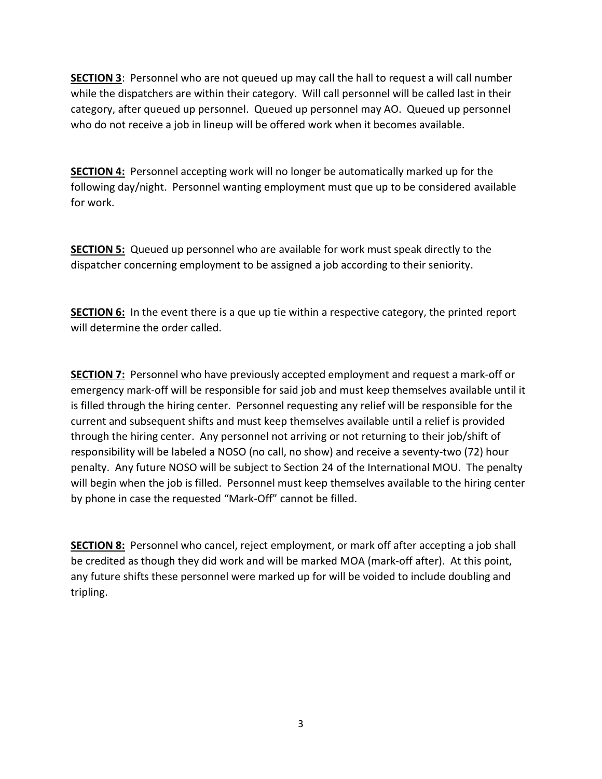SECTION 3: Personnel who are not queued up may call the hall to request a will call number while the dispatchers are within their category. Will call personnel will be called last in their category, after queued up personnel. Queued up personnel may AO. Queued up personnel who do not receive a job in lineup will be offered work when it becomes available.

**SECTION 4:** Personnel accepting work will no longer be automatically marked up for the following day/night. Personnel wanting employment must que up to be considered available for work.

SECTION 5: Queued up personnel who are available for work must speak directly to the dispatcher concerning employment to be assigned a job according to their seniority.

**SECTION 6:** In the event there is a que up tie within a respective category, the printed report will determine the order called.

SECTION 7: Personnel who have previously accepted employment and request a mark-off or emergency mark-off will be responsible for said job and must keep themselves available until it is filled through the hiring center. Personnel requesting any relief will be responsible for the current and subsequent shifts and must keep themselves available until a relief is provided through the hiring center. Any personnel not arriving or not returning to their job/shift of responsibility will be labeled a NOSO (no call, no show) and receive a seventy-two (72) hour penalty. Any future NOSO will be subject to Section 24 of the International MOU. The penalty will begin when the job is filled. Personnel must keep themselves available to the hiring center by phone in case the requested "Mark-Off" cannot be filled.

**SECTION 8:** Personnel who cancel, reject employment, or mark off after accepting a job shall be credited as though they did work and will be marked MOA (mark-off after). At this point, any future shifts these personnel were marked up for will be voided to include doubling and tripling.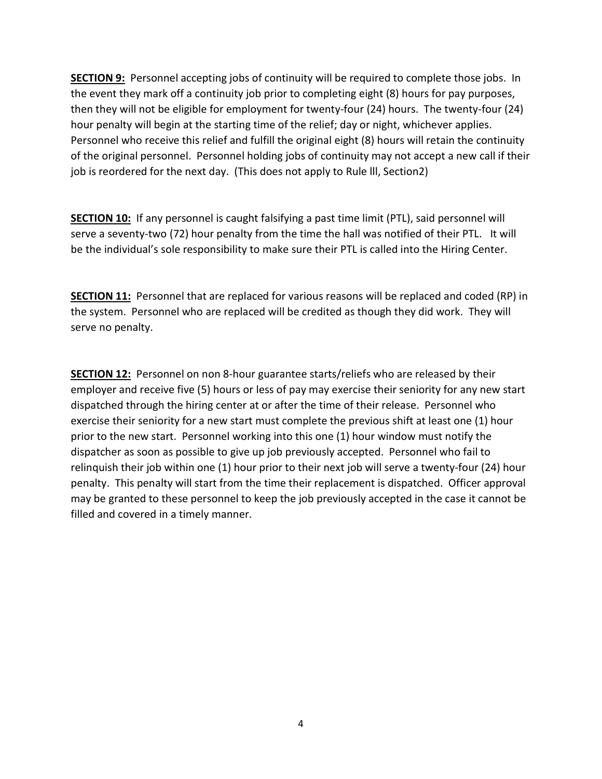**SECTION 9:** Personnel accepting jobs of continuity will be required to complete those jobs. In the event they mark off a continuity job prior to completing eight (8) hours for pay purposes, then they will not be eligible for employment for twenty-four (24) hours. The twenty-four (24) hour penalty will begin at the starting time of the relief; day or night, whichever applies. Personnel who receive this relief and fulfill the original eight (8) hours will retain the continuity of the original personnel. Personnel holding jobs of continuity may not accept a new call if their job is reordered for the next day. (This does not apply to Rule lll, Section2)

SECTION 10: If any personnel is caught falsifying a past time limit (PTL), said personnel will serve a seventy-two (72) hour penalty from the time the hall was notified of their PTL. It will be the individual's sole responsibility to make sure their PTL is called into the Hiring Center.

**SECTION 11:** Personnel that are replaced for various reasons will be replaced and coded (RP) in the system. Personnel who are replaced will be credited as though they did work. They will serve no penalty.

SECTION 12: Personnel on non 8-hour guarantee starts/reliefs who are released by their employer and receive five (5) hours or less of pay may exercise their seniority for any new start dispatched through the hiring center at or after the time of their release. Personnel who exercise their seniority for a new start must complete the previous shift at least one (1) hour prior to the new start. Personnel working into this one (1) hour window must notify the dispatcher as soon as possible to give up job previously accepted. Personnel who fail to relinquish their job within one (1) hour prior to their next job will serve a twenty-four (24) hour penalty. This penalty will start from the time their replacement is dispatched. Officer approval may be granted to these personnel to keep the job previously accepted in the case it cannot be filled and covered in a timely manner.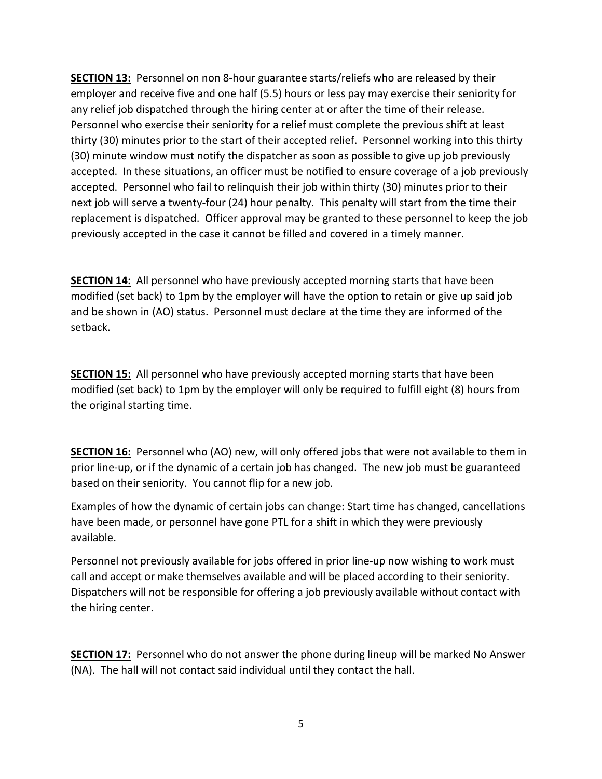SECTION 13: Personnel on non 8-hour guarantee starts/reliefs who are released by their employer and receive five and one half (5.5) hours or less pay may exercise their seniority for any relief job dispatched through the hiring center at or after the time of their release. Personnel who exercise their seniority for a relief must complete the previous shift at least thirty (30) minutes prior to the start of their accepted relief. Personnel working into this thirty (30) minute window must notify the dispatcher as soon as possible to give up job previously accepted. In these situations, an officer must be notified to ensure coverage of a job previously accepted. Personnel who fail to relinquish their job within thirty (30) minutes prior to their next job will serve a twenty-four (24) hour penalty. This penalty will start from the time their replacement is dispatched. Officer approval may be granted to these personnel to keep the job previously accepted in the case it cannot be filled and covered in a timely manner.

**SECTION 14:** All personnel who have previously accepted morning starts that have been modified (set back) to 1pm by the employer will have the option to retain or give up said job and be shown in (AO) status. Personnel must declare at the time they are informed of the setback.

SECTION 15: All personnel who have previously accepted morning starts that have been modified (set back) to 1pm by the employer will only be required to fulfill eight (8) hours from the original starting time.

**SECTION 16:** Personnel who (AO) new, will only offered jobs that were not available to them in prior line-up, or if the dynamic of a certain job has changed. The new job must be guaranteed based on their seniority. You cannot flip for a new job.

Examples of how the dynamic of certain jobs can change: Start time has changed, cancellations have been made, or personnel have gone PTL for a shift in which they were previously available.

Personnel not previously available for jobs offered in prior line-up now wishing to work must call and accept or make themselves available and will be placed according to their seniority. Dispatchers will not be responsible for offering a job previously available without contact with the hiring center.

SECTION 17: Personnel who do not answer the phone during lineup will be marked No Answer (NA). The hall will not contact said individual until they contact the hall.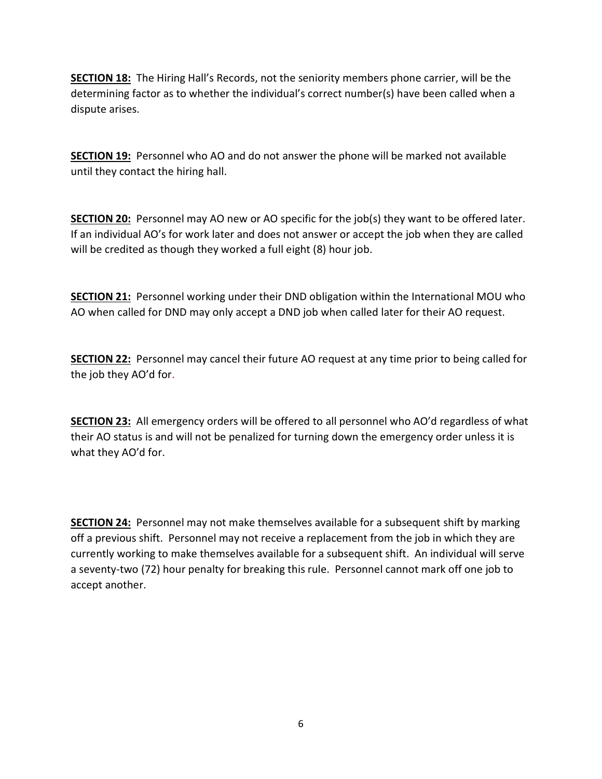SECTION 18: The Hiring Hall's Records, not the seniority members phone carrier, will be the determining factor as to whether the individual's correct number(s) have been called when a dispute arises.

**SECTION 19:** Personnel who AO and do not answer the phone will be marked not available until they contact the hiring hall.

SECTION 20: Personnel may AO new or AO specific for the job(s) they want to be offered later. If an individual AO's for work later and does not answer or accept the job when they are called will be credited as though they worked a full eight (8) hour job.

**SECTION 21:** Personnel working under their DND obligation within the International MOU who AO when called for DND may only accept a DND job when called later for their AO request.

**SECTION 22:** Personnel may cancel their future AO request at any time prior to being called for the job they AO'd for.

**SECTION 23:** All emergency orders will be offered to all personnel who AO'd regardless of what their AO status is and will not be penalized for turning down the emergency order unless it is what they AO'd for.

**SECTION 24:** Personnel may not make themselves available for a subsequent shift by marking off a previous shift. Personnel may not receive a replacement from the job in which they are currently working to make themselves available for a subsequent shift. An individual will serve a seventy-two (72) hour penalty for breaking this rule. Personnel cannot mark off one job to accept another.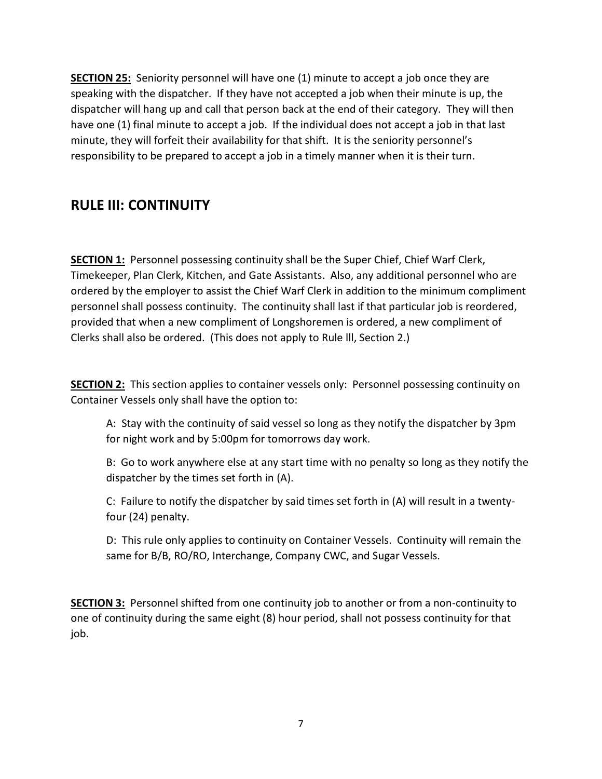SECTION 25: Seniority personnel will have one (1) minute to accept a job once they are speaking with the dispatcher. If they have not accepted a job when their minute is up, the dispatcher will hang up and call that person back at the end of their category. They will then have one (1) final minute to accept a job. If the individual does not accept a job in that last minute, they will forfeit their availability for that shift. It is the seniority personnel's responsibility to be prepared to accept a job in a timely manner when it is their turn.

#### RULE III: CONTINUITY

SECTION 1: Personnel possessing continuity shall be the Super Chief, Chief Warf Clerk, Timekeeper, Plan Clerk, Kitchen, and Gate Assistants. Also, any additional personnel who are ordered by the employer to assist the Chief Warf Clerk in addition to the minimum compliment personnel shall possess continuity. The continuity shall last if that particular job is reordered, provided that when a new compliment of Longshoremen is ordered, a new compliment of Clerks shall also be ordered. (This does not apply to Rule lll, Section 2.)

SECTION 2: This section applies to container vessels only: Personnel possessing continuity on Container Vessels only shall have the option to:

A: Stay with the continuity of said vessel so long as they notify the dispatcher by 3pm for night work and by 5:00pm for tomorrows day work.

B: Go to work anywhere else at any start time with no penalty so long as they notify the dispatcher by the times set forth in (A).

C: Failure to notify the dispatcher by said times set forth in (A) will result in a twentyfour (24) penalty.

D: This rule only applies to continuity on Container Vessels. Continuity will remain the same for B/B, RO/RO, Interchange, Company CWC, and Sugar Vessels.

SECTION 3: Personnel shifted from one continuity job to another or from a non-continuity to one of continuity during the same eight (8) hour period, shall not possess continuity for that job.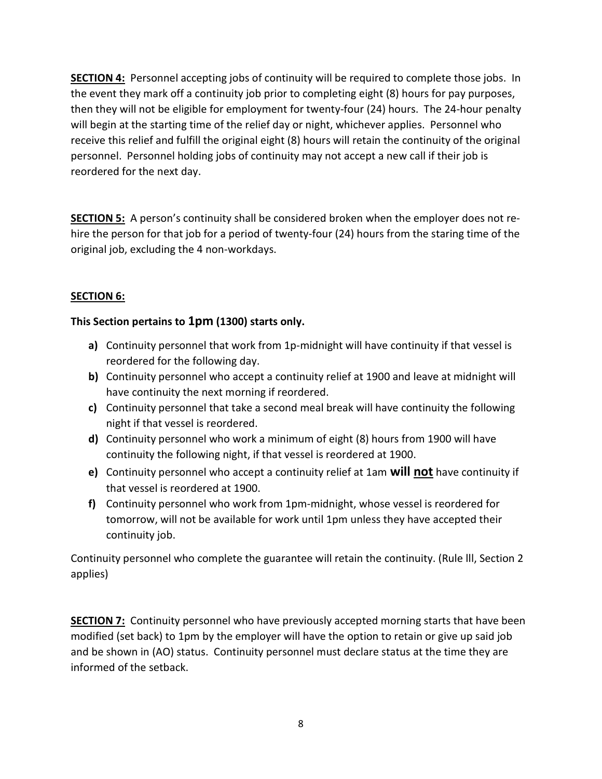SECTION 4: Personnel accepting jobs of continuity will be required to complete those jobs. In the event they mark off a continuity job prior to completing eight (8) hours for pay purposes, then they will not be eligible for employment for twenty-four (24) hours. The 24-hour penalty will begin at the starting time of the relief day or night, whichever applies. Personnel who receive this relief and fulfill the original eight (8) hours will retain the continuity of the original personnel. Personnel holding jobs of continuity may not accept a new call if their job is reordered for the next day.

SECTION 5: A person's continuity shall be considered broken when the employer does not rehire the person for that job for a period of twenty-four (24) hours from the staring time of the original job, excluding the 4 non-workdays.

#### SECTION 6:

#### This Section pertains to 1pm (1300) starts only.

- a) Continuity personnel that work from 1p-midnight will have continuity if that vessel is reordered for the following day.
- b) Continuity personnel who accept a continuity relief at 1900 and leave at midnight will have continuity the next morning if reordered.
- c) Continuity personnel that take a second meal break will have continuity the following night if that vessel is reordered.
- d) Continuity personnel who work a minimum of eight (8) hours from 1900 will have continuity the following night, if that vessel is reordered at 1900.
- e) Continuity personnel who accept a continuity relief at 1am will not have continuity if that vessel is reordered at 1900.
- f) Continuity personnel who work from 1pm-midnight, whose vessel is reordered for tomorrow, will not be available for work until 1pm unless they have accepted their continuity job.

Continuity personnel who complete the guarantee will retain the continuity. (Rule lll, Section 2 applies)

**SECTION 7:** Continuity personnel who have previously accepted morning starts that have been modified (set back) to 1pm by the employer will have the option to retain or give up said job and be shown in (AO) status. Continuity personnel must declare status at the time they are informed of the setback.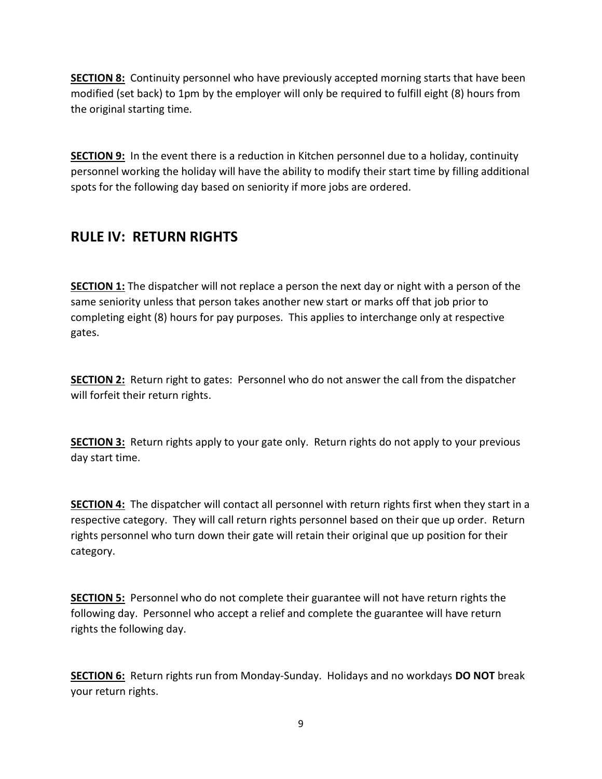**SECTION 8:** Continuity personnel who have previously accepted morning starts that have been modified (set back) to 1pm by the employer will only be required to fulfill eight (8) hours from the original starting time.

**SECTION 9:** In the event there is a reduction in Kitchen personnel due to a holiday, continuity personnel working the holiday will have the ability to modify their start time by filling additional spots for the following day based on seniority if more jobs are ordered.

### RULE IV: RETURN RIGHTS

**SECTION 1:** The dispatcher will not replace a person the next day or night with a person of the same seniority unless that person takes another new start or marks off that job prior to completing eight (8) hours for pay purposes. This applies to interchange only at respective gates.

**SECTION 2:** Return right to gates: Personnel who do not answer the call from the dispatcher will forfeit their return rights.

SECTION 3: Return rights apply to your gate only. Return rights do not apply to your previous day start time.

SECTION 4: The dispatcher will contact all personnel with return rights first when they start in a respective category. They will call return rights personnel based on their que up order. Return rights personnel who turn down their gate will retain their original que up position for their category.

**SECTION 5:** Personnel who do not complete their guarantee will not have return rights the following day. Personnel who accept a relief and complete the guarantee will have return rights the following day.

**SECTION 6:** Return rights run from Monday-Sunday. Holidays and no workdays DO NOT break your return rights.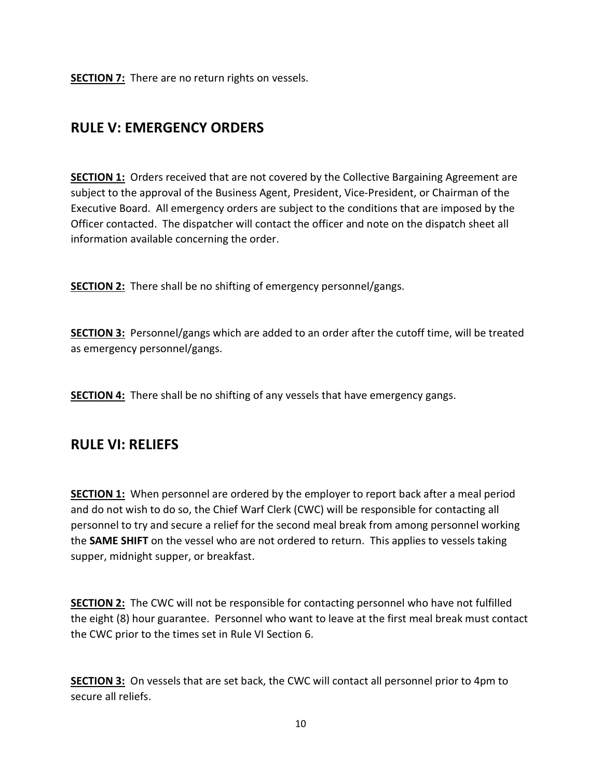**SECTION 7:** There are no return rights on vessels.

#### RULE V: EMERGENCY ORDERS

SECTION 1: Orders received that are not covered by the Collective Bargaining Agreement are subject to the approval of the Business Agent, President, Vice-President, or Chairman of the Executive Board. All emergency orders are subject to the conditions that are imposed by the Officer contacted. The dispatcher will contact the officer and note on the dispatch sheet all information available concerning the order.

**SECTION 2:** There shall be no shifting of emergency personnel/gangs.

SECTION 3: Personnel/gangs which are added to an order after the cutoff time, will be treated as emergency personnel/gangs.

**SECTION 4:** There shall be no shifting of any vessels that have emergency gangs.

#### RULE VI: RELIEFS

**SECTION 1:** When personnel are ordered by the employer to report back after a meal period and do not wish to do so, the Chief Warf Clerk (CWC) will be responsible for contacting all personnel to try and secure a relief for the second meal break from among personnel working the SAME SHIFT on the vessel who are not ordered to return. This applies to vessels taking supper, midnight supper, or breakfast.

**SECTION 2:** The CWC will not be responsible for contacting personnel who have not fulfilled the eight (8) hour guarantee. Personnel who want to leave at the first meal break must contact the CWC prior to the times set in Rule VI Section 6.

SECTION 3: On vessels that are set back, the CWC will contact all personnel prior to 4pm to secure all reliefs.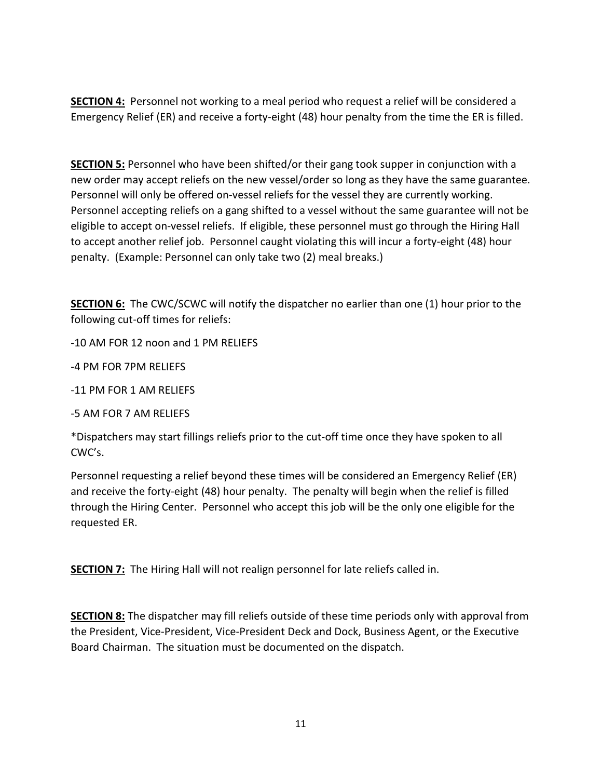**SECTION 4:** Personnel not working to a meal period who request a relief will be considered a Emergency Relief (ER) and receive a forty-eight (48) hour penalty from the time the ER is filled.

**SECTION 5:** Personnel who have been shifted/or their gang took supper in conjunction with a new order may accept reliefs on the new vessel/order so long as they have the same guarantee. Personnel will only be offered on-vessel reliefs for the vessel they are currently working. Personnel accepting reliefs on a gang shifted to a vessel without the same guarantee will not be eligible to accept on-vessel reliefs. If eligible, these personnel must go through the Hiring Hall to accept another relief job. Personnel caught violating this will incur a forty-eight (48) hour penalty. (Example: Personnel can only take two (2) meal breaks.)

SECTION 6: The CWC/SCWC will notify the dispatcher no earlier than one (1) hour prior to the following cut-off times for reliefs:

-10 AM FOR 12 noon and 1 PM RELIEFS

-4 PM FOR 7PM RELIEFS

-11 PM FOR 1 AM RELIEFS

-5 AM FOR 7 AM RELIEFS

\*Dispatchers may start fillings reliefs prior to the cut-off time once they have spoken to all CWC's.

Personnel requesting a relief beyond these times will be considered an Emergency Relief (ER) and receive the forty-eight (48) hour penalty. The penalty will begin when the relief is filled through the Hiring Center. Personnel who accept this job will be the only one eligible for the requested ER.

**SECTION 7:** The Hiring Hall will not realign personnel for late reliefs called in.

SECTION 8: The dispatcher may fill reliefs outside of these time periods only with approval from the President, Vice-President, Vice-President Deck and Dock, Business Agent, or the Executive Board Chairman. The situation must be documented on the dispatch.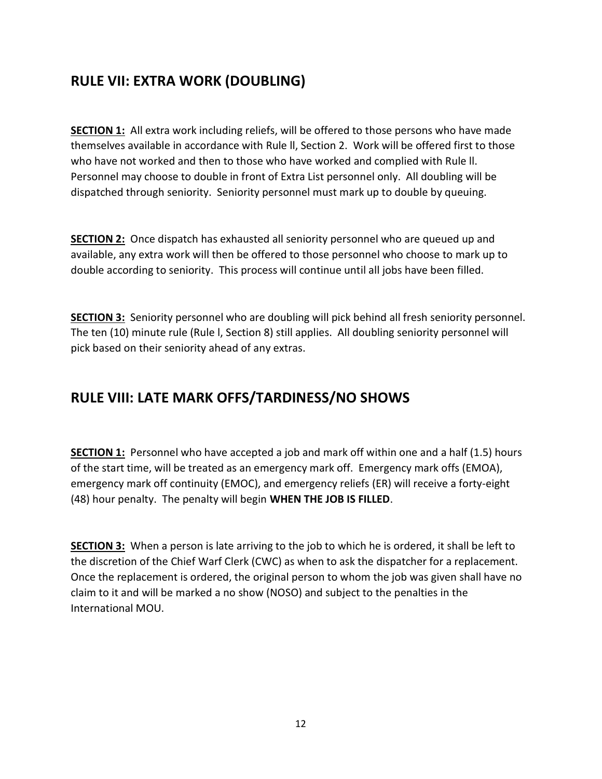## RULE VII: EXTRA WORK (DOUBLING)

SECTION 1: All extra work including reliefs, will be offered to those persons who have made themselves available in accordance with Rule ll, Section 2. Work will be offered first to those who have not worked and then to those who have worked and complied with Rule ll. Personnel may choose to double in front of Extra List personnel only. All doubling will be dispatched through seniority. Seniority personnel must mark up to double by queuing.

SECTION 2: Once dispatch has exhausted all seniority personnel who are queued up and available, any extra work will then be offered to those personnel who choose to mark up to double according to seniority. This process will continue until all jobs have been filled.

SECTION 3: Seniority personnel who are doubling will pick behind all fresh seniority personnel. The ten (10) minute rule (Rule l, Section 8) still applies. All doubling seniority personnel will pick based on their seniority ahead of any extras.

#### RULE VIII: LATE MARK OFFS/TARDINESS/NO SHOWS

SECTION 1: Personnel who have accepted a job and mark off within one and a half (1.5) hours of the start time, will be treated as an emergency mark off. Emergency mark offs (EMOA), emergency mark off continuity (EMOC), and emergency reliefs (ER) will receive a forty-eight (48) hour penalty. The penalty will begin WHEN THE JOB IS FILLED.

**SECTION 3:** When a person is late arriving to the job to which he is ordered, it shall be left to the discretion of the Chief Warf Clerk (CWC) as when to ask the dispatcher for a replacement. Once the replacement is ordered, the original person to whom the job was given shall have no claim to it and will be marked a no show (NOSO) and subject to the penalties in the International MOU.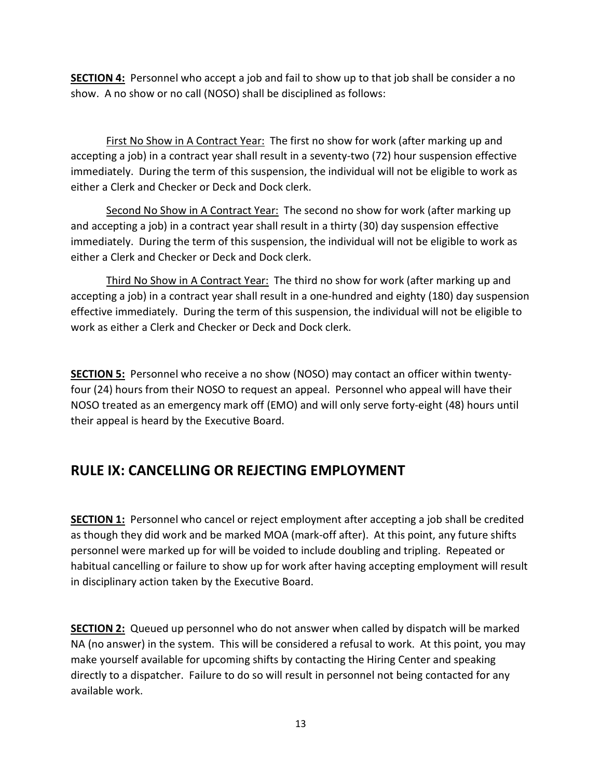SECTION 4: Personnel who accept a job and fail to show up to that job shall be consider a no show. A no show or no call (NOSO) shall be disciplined as follows:

First No Show in A Contract Year: The first no show for work (after marking up and accepting a job) in a contract year shall result in a seventy-two (72) hour suspension effective immediately. During the term of this suspension, the individual will not be eligible to work as either a Clerk and Checker or Deck and Dock clerk.

Second No Show in A Contract Year: The second no show for work (after marking up and accepting a job) in a contract year shall result in a thirty (30) day suspension effective immediately. During the term of this suspension, the individual will not be eligible to work as either a Clerk and Checker or Deck and Dock clerk.

 Third No Show in A Contract Year: The third no show for work (after marking up and accepting a job) in a contract year shall result in a one-hundred and eighty (180) day suspension effective immediately. During the term of this suspension, the individual will not be eligible to work as either a Clerk and Checker or Deck and Dock clerk.

SECTION 5: Personnel who receive a no show (NOSO) may contact an officer within twentyfour (24) hours from their NOSO to request an appeal. Personnel who appeal will have their NOSO treated as an emergency mark off (EMO) and will only serve forty-eight (48) hours until their appeal is heard by the Executive Board.

## RULE IX: CANCELLING OR REJECTING EMPLOYMENT

SECTION 1: Personnel who cancel or reject employment after accepting a job shall be credited as though they did work and be marked MOA (mark-off after). At this point, any future shifts personnel were marked up for will be voided to include doubling and tripling. Repeated or habitual cancelling or failure to show up for work after having accepting employment will result in disciplinary action taken by the Executive Board.

SECTION 2: Queued up personnel who do not answer when called by dispatch will be marked NA (no answer) in the system. This will be considered a refusal to work. At this point, you may make yourself available for upcoming shifts by contacting the Hiring Center and speaking directly to a dispatcher. Failure to do so will result in personnel not being contacted for any available work.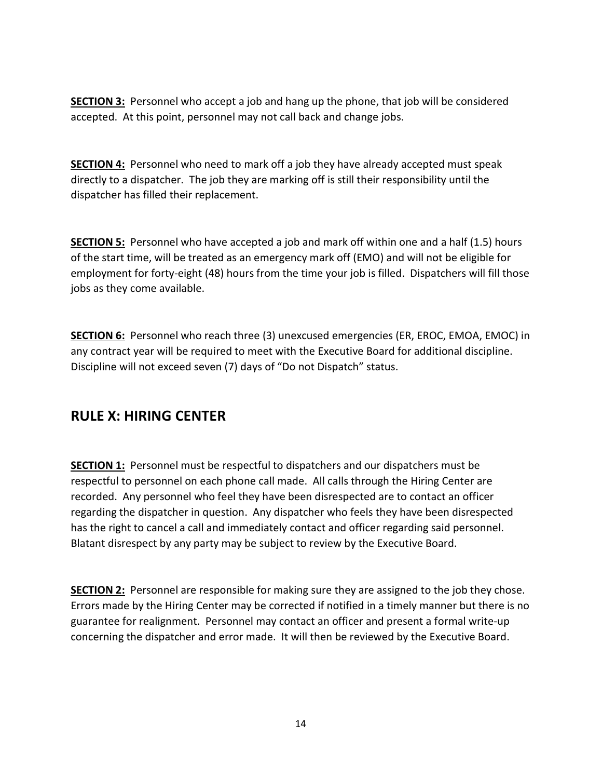**SECTION 3:** Personnel who accept a job and hang up the phone, that job will be considered accepted. At this point, personnel may not call back and change jobs.

**SECTION 4:** Personnel who need to mark off a job they have already accepted must speak directly to a dispatcher. The job they are marking off is still their responsibility until the dispatcher has filled their replacement.

**SECTION 5:** Personnel who have accepted a job and mark off within one and a half (1.5) hours of the start time, will be treated as an emergency mark off (EMO) and will not be eligible for employment for forty-eight (48) hours from the time your job is filled. Dispatchers will fill those jobs as they come available.

SECTION 6: Personnel who reach three (3) unexcused emergencies (ER, EROC, EMOA, EMOC) in any contract year will be required to meet with the Executive Board for additional discipline. Discipline will not exceed seven (7) days of "Do not Dispatch" status.

#### RULE X: HIRING CENTER

**SECTION 1:** Personnel must be respectful to dispatchers and our dispatchers must be respectful to personnel on each phone call made. All calls through the Hiring Center are recorded. Any personnel who feel they have been disrespected are to contact an officer regarding the dispatcher in question. Any dispatcher who feels they have been disrespected has the right to cancel a call and immediately contact and officer regarding said personnel. Blatant disrespect by any party may be subject to review by the Executive Board.

**SECTION 2:** Personnel are responsible for making sure they are assigned to the job they chose. Errors made by the Hiring Center may be corrected if notified in a timely manner but there is no guarantee for realignment. Personnel may contact an officer and present a formal write-up concerning the dispatcher and error made. It will then be reviewed by the Executive Board.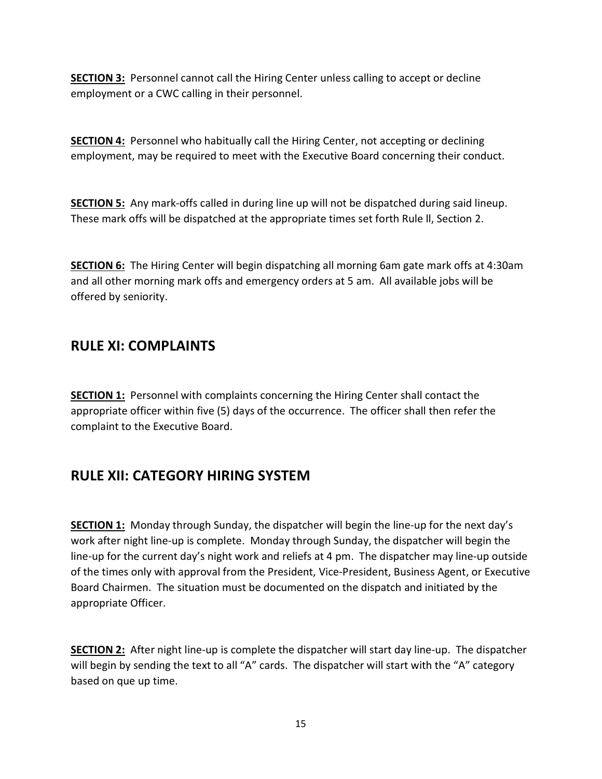SECTION 3: Personnel cannot call the Hiring Center unless calling to accept or decline employment or a CWC calling in their personnel.

**SECTION 4:** Personnel who habitually call the Hiring Center, not accepting or declining employment, may be required to meet with the Executive Board concerning their conduct.

SECTION 5: Any mark-offs called in during line up will not be dispatched during said lineup. These mark offs will be dispatched at the appropriate times set forth Rule ll, Section 2.

SECTION 6: The Hiring Center will begin dispatching all morning 6am gate mark offs at 4:30am and all other morning mark offs and emergency orders at 5 am. All available jobs will be offered by seniority.

#### RULE XI: COMPLAINTS

SECTION 1: Personnel with complaints concerning the Hiring Center shall contact the appropriate officer within five (5) days of the occurrence. The officer shall then refer the complaint to the Executive Board.

#### RULE XII: CATEGORY HIRING SYSTEM

SECTION 1: Monday through Sunday, the dispatcher will begin the line-up for the next day's work after night line-up is complete. Monday through Sunday, the dispatcher will begin the line-up for the current day's night work and reliefs at 4 pm. The dispatcher may line-up outside of the times only with approval from the President, Vice-President, Business Agent, or Executive Board Chairmen. The situation must be documented on the dispatch and initiated by the appropriate Officer.

SECTION 2: After night line-up is complete the dispatcher will start day line-up. The dispatcher will begin by sending the text to all "A" cards. The dispatcher will start with the "A" category based on que up time.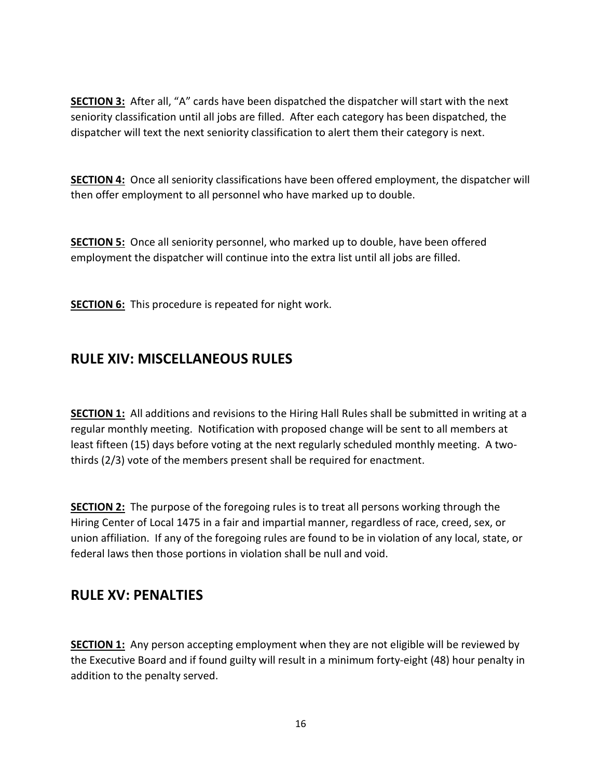**SECTION 3:** After all, "A" cards have been dispatched the dispatcher will start with the next seniority classification until all jobs are filled. After each category has been dispatched, the dispatcher will text the next seniority classification to alert them their category is next.

SECTION 4: Once all seniority classifications have been offered employment, the dispatcher will then offer employment to all personnel who have marked up to double.

**SECTION 5:** Once all seniority personnel, who marked up to double, have been offered employment the dispatcher will continue into the extra list until all jobs are filled.

**SECTION 6:** This procedure is repeated for night work.

#### RULE XIV: MISCELLANEOUS RULES

**SECTION 1:** All additions and revisions to the Hiring Hall Rules shall be submitted in writing at a regular monthly meeting. Notification with proposed change will be sent to all members at least fifteen (15) days before voting at the next regularly scheduled monthly meeting. A twothirds (2/3) vote of the members present shall be required for enactment.

SECTION 2: The purpose of the foregoing rules is to treat all persons working through the Hiring Center of Local 1475 in a fair and impartial manner, regardless of race, creed, sex, or union affiliation. If any of the foregoing rules are found to be in violation of any local, state, or federal laws then those portions in violation shall be null and void.

#### RULE XV: PENALTIES

**SECTION 1:** Any person accepting employment when they are not eligible will be reviewed by the Executive Board and if found guilty will result in a minimum forty-eight (48) hour penalty in addition to the penalty served.